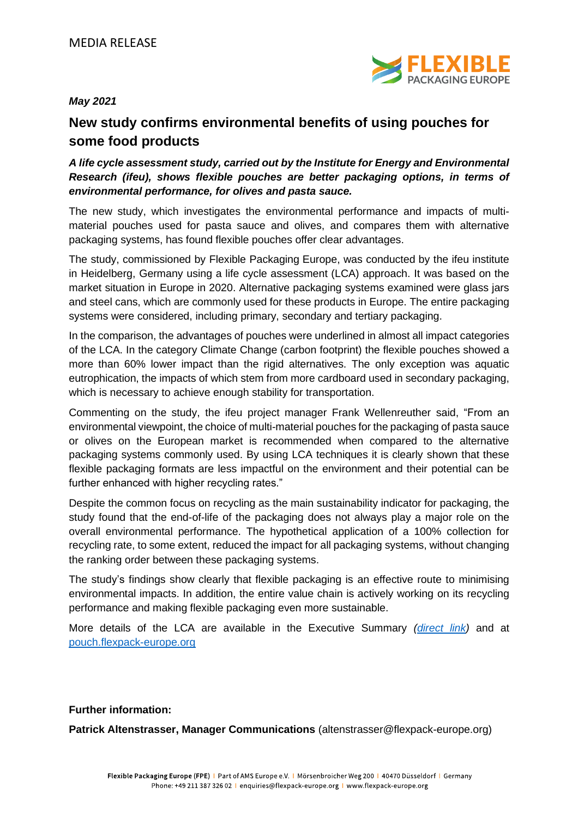

*May 2021*

## **New study confirms environmental benefits of using pouches for some food products**

## *A life cycle assessment study, carried out by the Institute for Energy and Environmental Research (ifeu), shows flexible pouches are better packaging options, in terms of environmental performance, for olives and pasta sauce.*

The new study, which investigates the environmental performance and impacts of multimaterial pouches used for pasta sauce and olives, and compares them with alternative packaging systems, has found flexible pouches offer clear advantages.

The study, commissioned by Flexible Packaging Europe, was conducted by the ifeu institute in Heidelberg, Germany using a life cycle assessment (LCA) approach. It was based on the market situation in Europe in 2020. Alternative packaging systems examined were glass jars and steel cans, which are commonly used for these products in Europe. The entire packaging systems were considered, including primary, secondary and tertiary packaging.

In the comparison, the advantages of pouches were underlined in almost all impact categories of the LCA. In the category Climate Change (carbon footprint) the flexible pouches showed a more than 60% lower impact than the rigid alternatives. The only exception was aquatic eutrophication, the impacts of which stem from more cardboard used in secondary packaging, which is necessary to achieve enough stability for transportation.

Commenting on the study, the ifeu project manager Frank Wellenreuther said, "From an environmental viewpoint, the choice of multi-material pouches for the packaging of pasta sauce or olives on the European market is recommended when compared to the alternative packaging systems commonly used. By using LCA techniques it is clearly shown that these flexible packaging formats are less impactful on the environment and their potential can be further enhanced with higher recycling rates."

Despite the common focus on recycling as the main sustainability indicator for packaging, the study found that the end-of-life of the packaging does not always play a major role on the overall environmental performance. The hypothetical application of a 100% collection for recycling rate, to some extent, reduced the impact for all packaging systems, without changing the ranking order between these packaging systems.

The study's findings show clearly that flexible packaging is an effective route to minimising environmental impacts. In addition, the entire value chain is actively working on its recycling performance and making flexible packaging even more sustainable.

More details of the LCA are available in the Executive Summary *[\(direct link\)](https://www.flexpack-europe.org/files/FPE/sustainability/2021/ifeu-study-2021-LCA-Pouches-Executive-summary-report.pdf)* and at <pouch.flexpack-europe.org>

## **Further information:**

**Patrick Altenstrasser, Manager Communications** (altenstrasser@flexpack-europe.org)